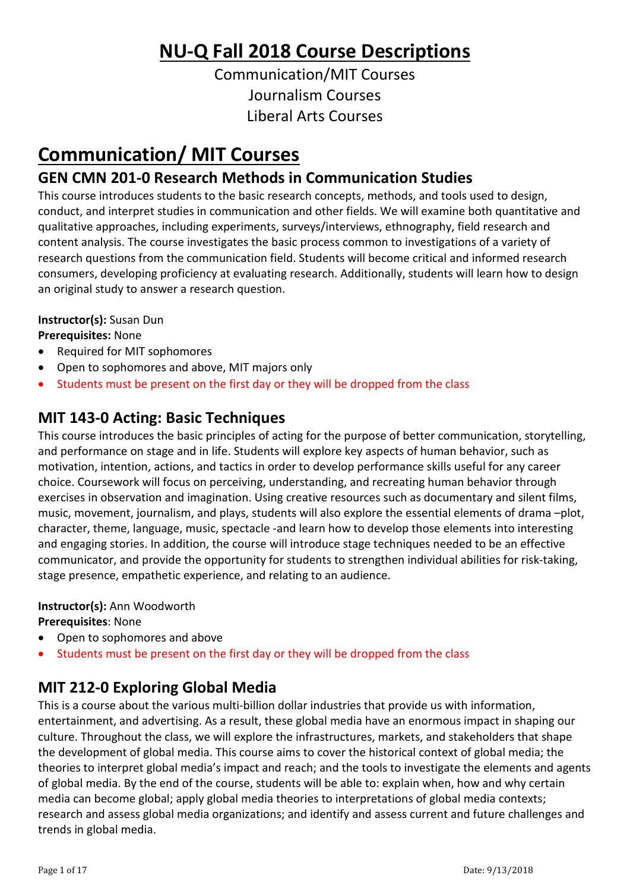# **NU-Q Fall 2018 Course Descriptions**

Communication/MIT Courses Journalism Courses Liberal Arts Courses

# **Communication/ MIT Courses**

## **GEN CMN 201-0 Research Methods in Communication Studies**

This course introduces students to the basic research concepts, methods, and tools used to design, conduct, and interpret studies in communication and other fields. We will examine both quantitative and qualitative approaches, including experiments, surveys/interviews, ethnography, field research and content analysis. The course investigates the basic process common to investigations of a variety of research questions from the communication field. Students will become critical and informed research consumers, developing proficiency at evaluating research. Additionally, students will learn how to design an original study to answer a research question.

### **Instructor(s):** Susan Dun

### **Prerequisites:** None

- Required for MIT sophomores
- Open to sophomores and above, MIT majors only
- Students must be present on the first day or they will be dropped from the class

## **MIT 143-0 Acting: Basic Techniques**

This course introduces the basic principles of acting for the purpose of better communication, storytelling, and performance on stage and in life. Students will explore key aspects of human behavior, such as motivation, intention, actions, and tactics in order to develop performance skills useful for any career choice. Coursework will focus on perceiving, understanding, and recreating human behavior through exercises in observation and imagination. Using creative resources such as documentary and silent films, music, movement, journalism, and plays, students will also explore the essential elements of drama –plot, character, theme, language, music, spectacle -and learn how to develop those elements into interesting and engaging stories. In addition, the course will introduce stage techniques needed to be an effective communicator, and provide the opportunity for students to strengthen individual abilities for risk-taking, stage presence, empathetic experience, and relating to an audience.

### **Instructor(s):** Ann Woodworth

**Prerequisites**: None

- Open to sophomores and above
- Students must be present on the first day or they will be dropped from the class

## **MIT 212-0 Exploring Global Media**

This is a course about the various multi-billion dollar industries that provide us with information, entertainment, and advertising. As a result, these global media have an enormous impact in shaping our culture. Throughout the class, we will explore the infrastructures, markets, and stakeholders that shape the development of global media. This course aims to cover the historical context of global media; the theories to interpret global media's impact and reach; and the tools to investigate the elements and agents of global media. By the end of the course, students will be able to: explain when, how and why certain media can become global; apply global media theories to interpretations of global media contexts; research and assess global media organizations; and identify and assess current and future challenges and trends in global media.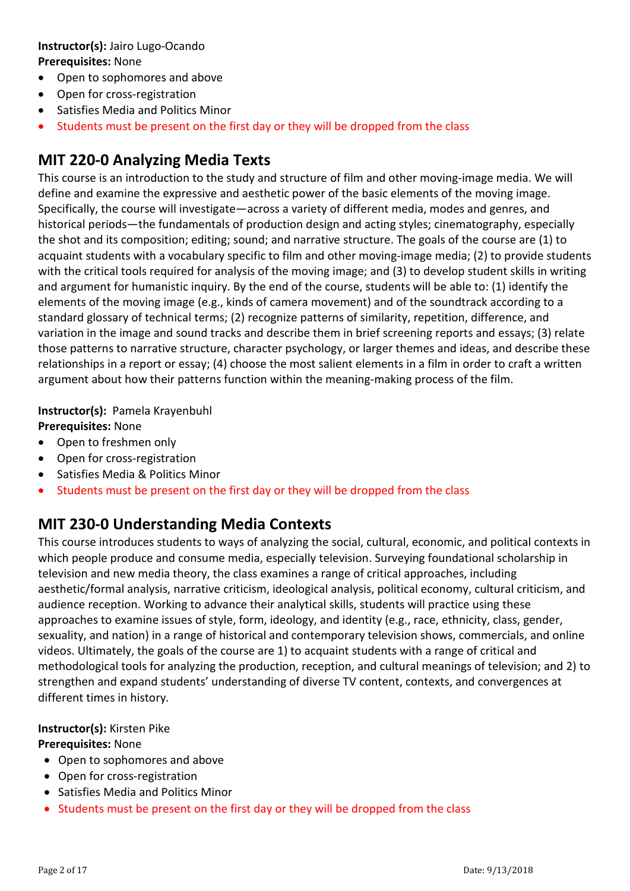#### **Instructor(s):** Jairo Lugo-Ocando **Prerequisites:** None

- Open to sophomores and above
- Open for cross-registration
- Satisfies Media and Politics Minor
- Students must be present on the first day or they will be dropped from the class

### **MIT 220-0 Analyzing Media Texts**

This course is an introduction to the study and structure of film and other moving-image media. We will define and examine the expressive and aesthetic power of the basic elements of the moving image. Specifically, the course will investigate—across a variety of different media, modes and genres, and historical periods—the fundamentals of production design and acting styles; cinematography, especially the shot and its composition; editing; sound; and narrative structure. The goals of the course are (1) to acquaint students with a vocabulary specific to film and other moving-image media; (2) to provide students with the critical tools required for analysis of the moving image; and (3) to develop student skills in writing and argument for humanistic inquiry. By the end of the course, students will be able to: (1) identify the elements of the moving image (e.g., kinds of camera movement) and of the soundtrack according to a standard glossary of technical terms; (2) recognize patterns of similarity, repetition, difference, and variation in the image and sound tracks and describe them in brief screening reports and essays; (3) relate those patterns to narrative structure, character psychology, or larger themes and ideas, and describe these relationships in a report or essay; (4) choose the most salient elements in a film in order to craft a written argument about how their patterns function within the meaning-making process of the film.

# **Instructor(s):** Pamela Krayenbuhl

- **Prerequisites:** None
- Open to freshmen only
- Open for cross-registration
- Satisfies Media & Politics Minor
- Students must be present on the first day or they will be dropped from the class

### **MIT 230-0 Understanding Media Contexts**

This course introduces students to ways of analyzing the social, cultural, economic, and political contexts in which people produce and consume media, especially television. Surveying foundational scholarship in television and new media theory, the class examines a range of critical approaches, including aesthetic/formal analysis, narrative criticism, ideological analysis, political economy, cultural criticism, and audience reception. Working to advance their analytical skills, students will practice using these approaches to examine issues of style, form, ideology, and identity (e.g., race, ethnicity, class, gender, sexuality, and nation) in a range of historical and contemporary television shows, commercials, and online videos. Ultimately, the goals of the course are 1) to acquaint students with a range of critical and methodological tools for analyzing the production, reception, and cultural meanings of television; and 2) to strengthen and expand students' understanding of diverse TV content, contexts, and convergences at different times in history.

#### **Instructor(s):** Kirsten Pike

- Open to sophomores and above
- Open for cross-registration
- Satisfies Media and Politics Minor
- Students must be present on the first day or they will be dropped from the class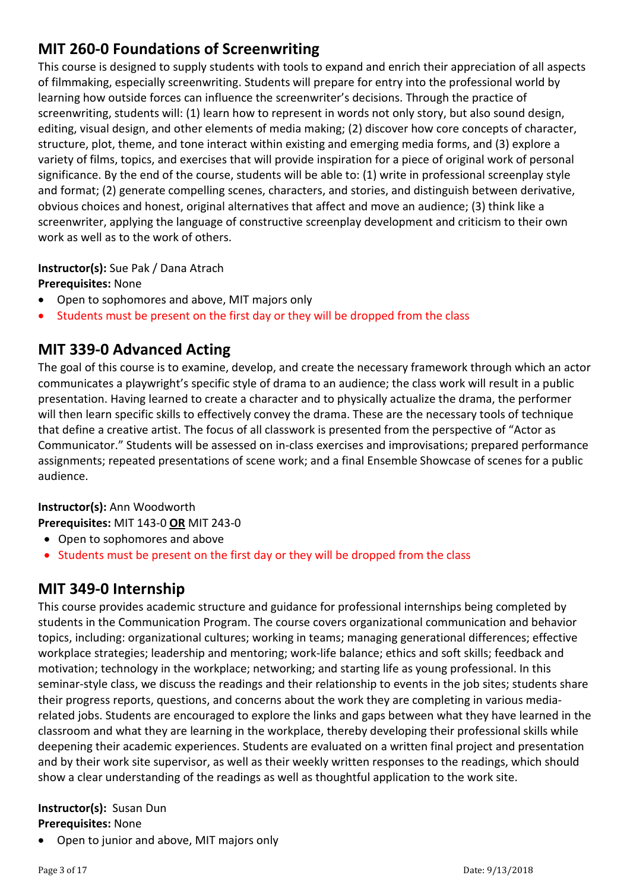## **MIT 260-0 Foundations of Screenwriting**

This course is designed to supply students with tools to expand and enrich their appreciation of all aspects of filmmaking, especially screenwriting. Students will prepare for entry into the professional world by learning how outside forces can influence the screenwriter's decisions. Through the practice of screenwriting, students will: (1) learn how to represent in words not only story, but also sound design, editing, visual design, and other elements of media making; (2) discover how core concepts of character, structure, plot, theme, and tone interact within existing and emerging media forms, and (3) explore a variety of films, topics, and exercises that will provide inspiration for a piece of original work of personal significance. By the end of the course, students will be able to: (1) write in professional screenplay style and format; (2) generate compelling scenes, characters, and stories, and distinguish between derivative, obvious choices and honest, original alternatives that affect and move an audience; (3) think like a screenwriter, applying the language of constructive screenplay development and criticism to their own work as well as to the work of others.

### **Instructor(s):** Sue Pak / Dana Atrach

**Prerequisites:** None

- Open to sophomores and above, MIT majors only
- Students must be present on the first day or they will be dropped from the class

## **MIT 339-0 Advanced Acting**

The goal of this course is to examine, develop, and create the necessary framework through which an actor communicates a playwright's specific style of drama to an audience; the class work will result in a public presentation. Having learned to create a character and to physically actualize the drama, the performer will then learn specific skills to effectively convey the drama. These are the necessary tools of technique that define a creative artist. The focus of all classwork is presented from the perspective of "Actor as Communicator." Students will be assessed on in-class exercises and improvisations; prepared performance assignments; repeated presentations of scene work; and a final Ensemble Showcase of scenes for a public audience.

#### **Instructor(s):** Ann Woodworth **Prerequisites:** MIT 143-0 **OR** MIT 243-0

- Open to sophomores and above
- Students must be present on the first day or they will be dropped from the class

## **MIT 349-0 Internship**

This course provides academic structure and guidance for professional internships being completed by students in the Communication Program. The course covers organizational communication and behavior topics, including: organizational cultures; working in teams; managing generational differences; effective workplace strategies; leadership and mentoring; work-life balance; ethics and soft skills; feedback and motivation; technology in the workplace; networking; and starting life as young professional. In this seminar-style class, we discuss the readings and their relationship to events in the job sites; students share their progress reports, questions, and concerns about the work they are completing in various mediarelated jobs. Students are encouraged to explore the links and gaps between what they have learned in the classroom and what they are learning in the workplace, thereby developing their professional skills while deepening their academic experiences. Students are evaluated on a written final project and presentation and by their work site supervisor, as well as their weekly written responses to the readings, which should show a clear understanding of the readings as well as thoughtful application to the work site.

#### **Instructor(s):** Susan Dun **Prerequisites:** None

• Open to junior and above, MIT majors only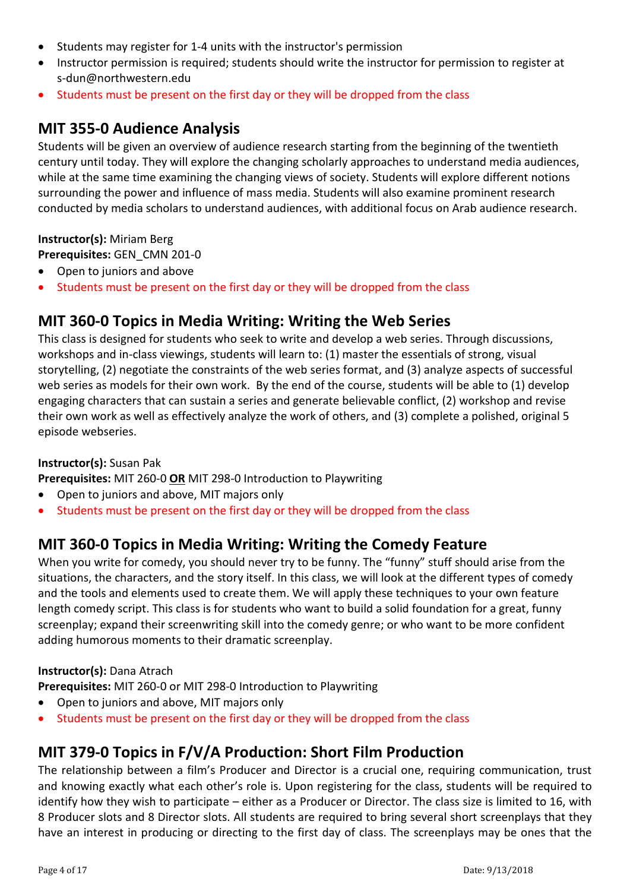- Students may register for 1-4 units with the instructor's permission
- Instructor permission is required; students should write the instructor for permission to register at s-dun@northwestern.edu
- Students must be present on the first day or they will be dropped from the class

### **MIT 355-0 Audience Analysis**

Students will be given an overview of audience research starting from the beginning of the twentieth century until today. They will explore the changing scholarly approaches to understand media audiences, while at the same time examining the changing views of society. Students will explore different notions surrounding the power and influence of mass media. Students will also examine prominent research conducted by media scholars to understand audiences, with additional focus on Arab audience research.

### **Instructor(s):** Miriam Berg

**Prerequisites:** GEN\_CMN 201-0

- Open to juniors and above
- Students must be present on the first day or they will be dropped from the class

### **MIT 360-0 Topics in Media Writing: Writing the Web Series**

This class is designed for students who seek to write and develop a web series. Through discussions, workshops and in-class viewings, students will learn to: (1) master the essentials of strong, visual storytelling, (2) negotiate the constraints of the web series format, and (3) analyze aspects of successful web series as models for their own work. By the end of the course, students will be able to (1) develop engaging characters that can sustain a series and generate believable conflict, (2) workshop and revise their own work as well as effectively analyze the work of others, and (3) complete a polished, original 5 episode webseries.

### **Instructor(s):** Susan Pak

**Prerequisites:** MIT 260-0 **OR** MIT 298-0 Introduction to Playwriting

- Open to juniors and above, MIT majors only
- Students must be present on the first day or they will be dropped from the class

### **MIT 360-0 Topics in Media Writing: Writing the Comedy Feature**

When you write for comedy, you should never try to be funny. The "funny" stuff should arise from the situations, the characters, and the story itself. In this class, we will look at the different types of comedy and the tools and elements used to create them. We will apply these techniques to your own feature length comedy script. This class is for students who want to build a solid foundation for a great, funny screenplay; expand their screenwriting skill into the comedy genre; or who want to be more confident adding humorous moments to their dramatic screenplay.

#### **Instructor(s):** Dana Atrach

**Prerequisites:** MIT 260-0 or MIT 298-0 Introduction to Playwriting

- Open to juniors and above, MIT majors only
- Students must be present on the first day or they will be dropped from the class

### **MIT 379-0 Topics in F/V/A Production: Short Film Production**

The relationship between a film's Producer and Director is a crucial one, requiring communication, trust and knowing exactly what each other's role is. Upon registering for the class, students will be required to identify how they wish to participate – either as a Producer or Director. The class size is limited to 16, with 8 Producer slots and 8 Director slots. All students are required to bring several short screenplays that they have an interest in producing or directing to the first day of class. The screenplays may be ones that the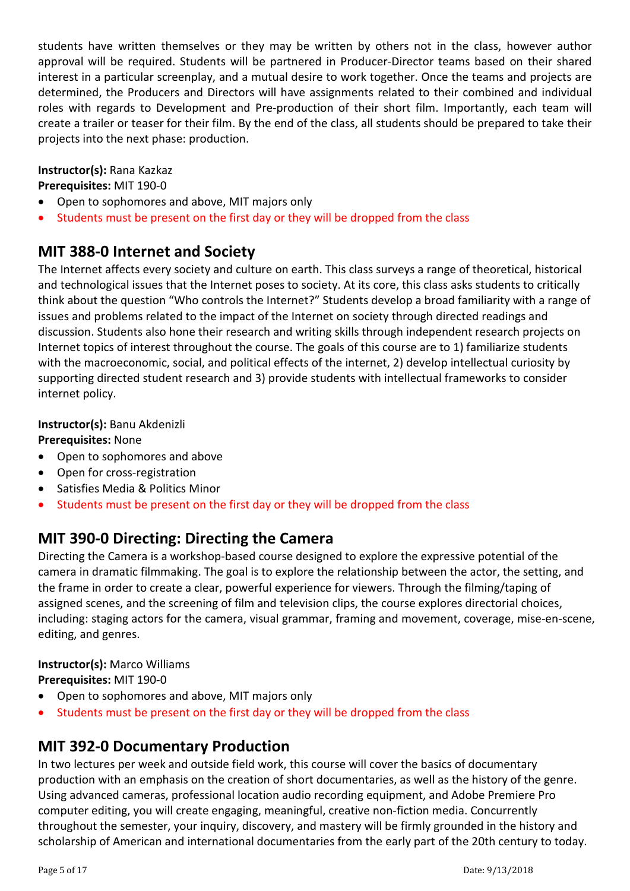students have written themselves or they may be written by others not in the class, however author approval will be required. Students will be partnered in Producer-Director teams based on their shared interest in a particular screenplay, and a mutual desire to work together. Once the teams and projects are determined, the Producers and Directors will have assignments related to their combined and individual roles with regards to Development and Pre-production of their short film. Importantly, each team will create a trailer or teaser for their film. By the end of the class, all students should be prepared to take their projects into the next phase: production.

### **Instructor(s):** Rana Kazkaz

**Prerequisites:** MIT 190-0

- Open to sophomores and above, MIT majors only
- Students must be present on the first day or they will be dropped from the class

## **MIT 388-0 Internet and Society**

The Internet affects every society and culture on earth. This class surveys a range of theoretical, historical and technological issues that the Internet poses to society. At its core, this class asks students to critically think about the question "Who controls the Internet?" Students develop a broad familiarity with a range of issues and problems related to the impact of the Internet on society through directed readings and discussion. Students also hone their research and writing skills through independent research projects on Internet topics of interest throughout the course. The goals of this course are to 1) familiarize students with the macroeconomic, social, and political effects of the internet, 2) develop intellectual curiosity by supporting directed student research and 3) provide students with intellectual frameworks to consider internet policy.

### **Instructor(s):** Banu Akdenizli

#### **Prerequisites:** None

- Open to sophomores and above
- Open for cross-registration
- Satisfies Media & Politics Minor
- Students must be present on the first day or they will be dropped from the class

## **MIT 390-0 Directing: Directing the Camera**

Directing the Camera is a workshop-based course designed to explore the expressive potential of the camera in dramatic filmmaking. The goal is to explore the relationship between the actor, the setting, and the frame in order to create a clear, powerful experience for viewers. Through the filming/taping of assigned scenes, and the screening of film and television clips, the course explores directorial choices, including: staging actors for the camera, visual grammar, framing and movement, coverage, mise-en-scene, editing, and genres.

**Instructor(s):** Marco Williams **Prerequisites:** MIT 190-0

- Open to sophomores and above, MIT majors only
- Students must be present on the first day or they will be dropped from the class

### **MIT 392-0 Documentary Production**

In two lectures per week and outside field work, this course will cover the basics of documentary production with an emphasis on the creation of short documentaries, as well as the history of the genre. Using advanced cameras, professional location audio recording equipment, and Adobe Premiere Pro computer editing, you will create engaging, meaningful, creative non-fiction media. Concurrently throughout the semester, your inquiry, discovery, and mastery will be firmly grounded in the history and scholarship of American and international documentaries from the early part of the 20th century to today.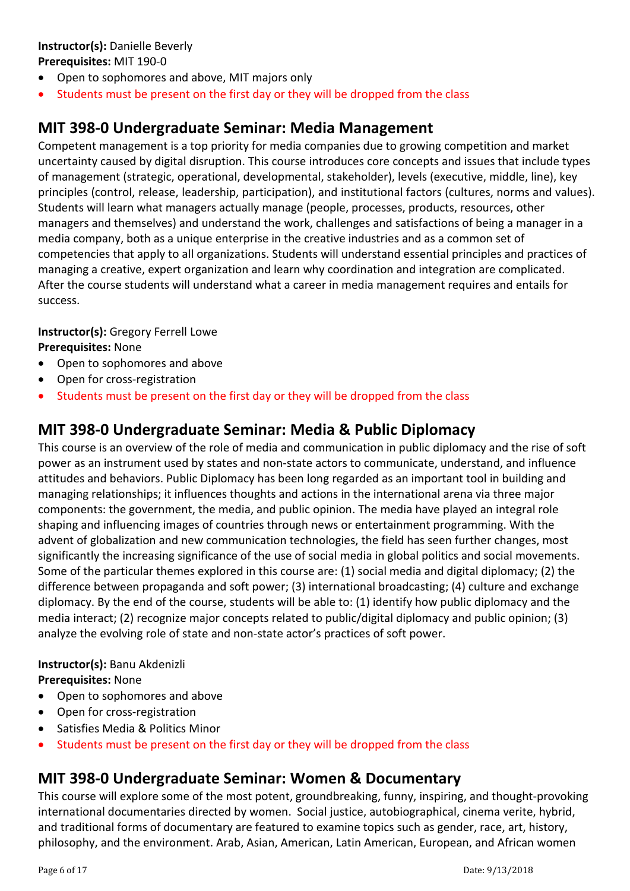### **Instructor(s):** Danielle Beverly

#### **Prerequisites:** MIT 190-0

- Open to sophomores and above, MIT majors only
- Students must be present on the first day or they will be dropped from the class

## **MIT 398-0 Undergraduate Seminar: Media Management**

Competent management is a top priority for media companies due to growing competition and market uncertainty caused by digital disruption. This course introduces core concepts and issues that include types of management (strategic, operational, developmental, stakeholder), levels (executive, middle, line), key principles (control, release, leadership, participation), and institutional factors (cultures, norms and values). Students will learn what managers actually manage (people, processes, products, resources, other managers and themselves) and understand the work, challenges and satisfactions of being a manager in a media company, both as a unique enterprise in the creative industries and as a common set of competencies that apply to all organizations. Students will understand essential principles and practices of managing a creative, expert organization and learn why coordination and integration are complicated. After the course students will understand what a career in media management requires and entails for success.

### **Instructor(s):** Gregory Ferrell Lowe

#### **Prerequisites:** None

- Open to sophomores and above
- Open for cross-registration
- Students must be present on the first day or they will be dropped from the class

### **MIT 398-0 Undergraduate Seminar: Media & Public Diplomacy**

This course is an overview of the role of media and communication in public diplomacy and the rise of soft power as an instrument used by states and non-state actors to communicate, understand, and influence attitudes and behaviors. Public Diplomacy has been long regarded as an important tool in building and managing relationships; it influences thoughts and actions in the international arena via three major components: the government, the media, and public opinion. The media have played an integral role shaping and influencing images of countries through news or entertainment programming. With the advent of globalization and new communication technologies, the field has seen further changes, most significantly the increasing significance of the use of social media in global politics and social movements. Some of the particular themes explored in this course are: (1) social media and digital diplomacy; (2) the difference between propaganda and soft power; (3) international broadcasting; (4) culture and exchange diplomacy. By the end of the course, students will be able to: (1) identify how public diplomacy and the media interact; (2) recognize major concepts related to public/digital diplomacy and public opinion; (3) analyze the evolving role of state and non-state actor's practices of soft power.

#### **Instructor(s):** Banu Akdenizli **Prerequisites:** None

- Open to sophomores and above
- Open for cross-registration
- Satisfies Media & Politics Minor
- Students must be present on the first day or they will be dropped from the class

### **MIT 398-0 Undergraduate Seminar: Women & Documentary**

This course will explore some of the most potent, groundbreaking, funny, inspiring, and thought-provoking international documentaries directed by women. Social justice, autobiographical, cinema verite, hybrid, and traditional forms of documentary are featured to examine topics such as gender, race, art, history, philosophy, and the environment. Arab, Asian, American, Latin American, European, and African women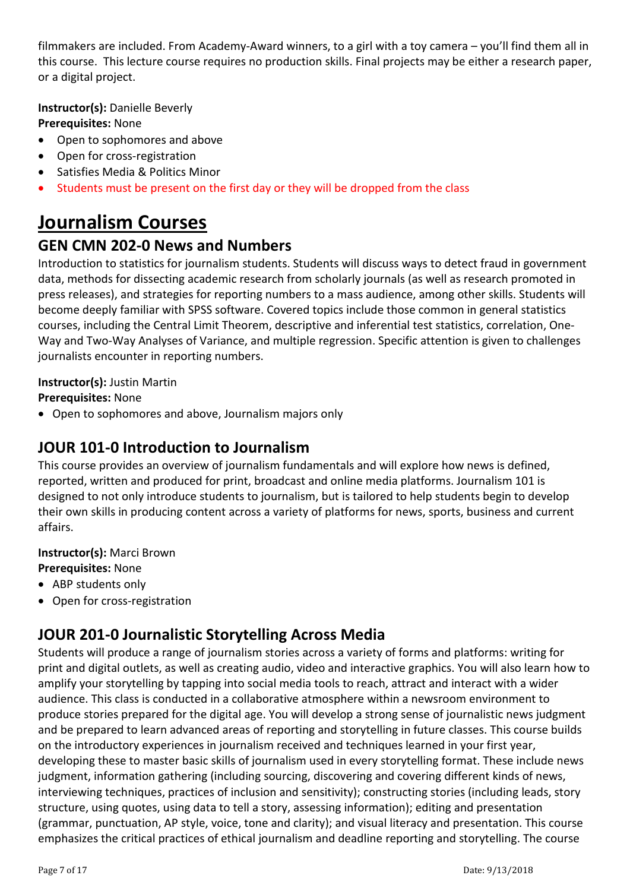filmmakers are included. From Academy-Award winners, to a girl with a toy camera – you'll find them all in this course. This lecture course requires no production skills. Final projects may be either a research paper, or a digital project.

**Instructor(s):** Danielle Beverly

### **Prerequisites:** None

- Open to sophomores and above
- Open for cross-registration
- Satisfies Media & Politics Minor
- Students must be present on the first day or they will be dropped from the class

# **Journalism Courses**

### **GEN CMN 202-0 News and Numbers**

Introduction to statistics for journalism students. Students will discuss ways to detect fraud in government data, methods for dissecting academic research from scholarly journals (as well as research promoted in press releases), and strategies for reporting numbers to a mass audience, among other skills. Students will become deeply familiar with SPSS software. Covered topics include those common in general statistics courses, including the Central Limit Theorem, descriptive and inferential test statistics, correlation, One-Way and Two-Way Analyses of Variance, and multiple regression. Specific attention is given to challenges journalists encounter in reporting numbers.

#### **Instructor(s):** Justin Martin

**Prerequisites:** None

• Open to sophomores and above, Journalism majors only

### **JOUR 101-0 Introduction to Journalism**

This course provides an overview of journalism fundamentals and will explore how news is defined, reported, written and produced for print, broadcast and online media platforms. Journalism 101 is designed to not only introduce students to journalism, but is tailored to help students begin to develop their own skills in producing content across a variety of platforms for news, sports, business and current affairs.

### **Instructor(s):** Marci Brown

### **Prerequisites:** None

- ABP students only
- Open for cross-registration

### **JOUR 201-0 Journalistic Storytelling Across Media**

Students will produce a range of journalism stories across a variety of forms and platforms: writing for print and digital outlets, as well as creating audio, video and interactive graphics. You will also learn how to amplify your storytelling by tapping into social media tools to reach, attract and interact with a wider audience. This class is conducted in a collaborative atmosphere within a newsroom environment to produce stories prepared for the digital age. You will develop a strong sense of journalistic news judgment and be prepared to learn advanced areas of reporting and storytelling in future classes. This course builds on the introductory experiences in journalism received and techniques learned in your first year, developing these to master basic skills of journalism used in every storytelling format. These include news judgment, information gathering (including sourcing, discovering and covering different kinds of news, interviewing techniques, practices of inclusion and sensitivity); constructing stories (including leads, story structure, using quotes, using data to tell a story, assessing information); editing and presentation (grammar, punctuation, AP style, voice, tone and clarity); and visual literacy and presentation. This course emphasizes the critical practices of ethical journalism and deadline reporting and storytelling. The course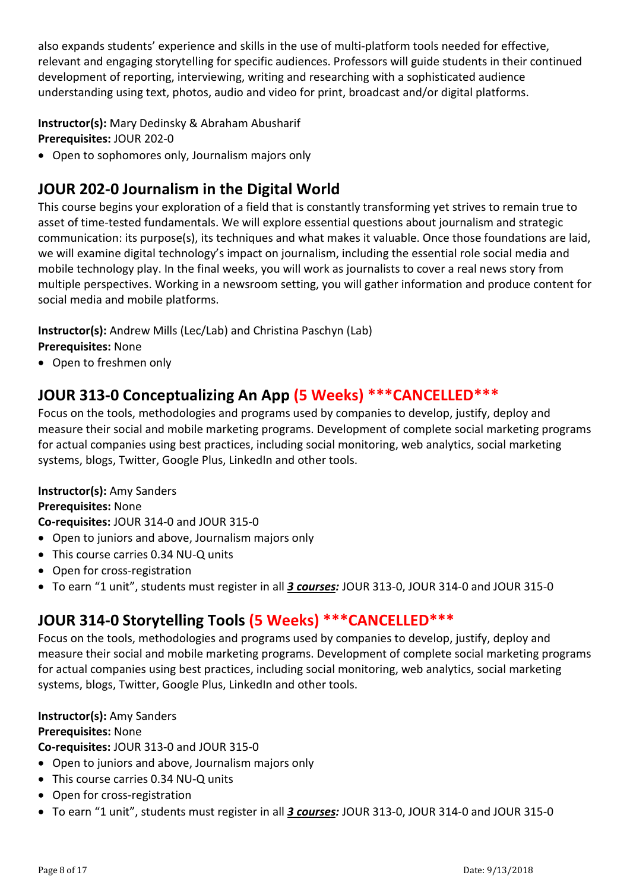also expands students' experience and skills in the use of multi-platform tools needed for effective, relevant and engaging storytelling for specific audiences. Professors will guide students in their continued development of reporting, interviewing, writing and researching with a sophisticated audience understanding using text, photos, audio and video for print, broadcast and/or digital platforms.

**Instructor(s):** Mary Dedinsky & Abraham Abusharif **Prerequisites:** JOUR 202-0

• Open to sophomores only, Journalism majors only

## **JOUR 202-0 Journalism in the Digital World**

This course begins your exploration of a field that is constantly transforming yet strives to remain true to asset of time-tested fundamentals. We will explore essential questions about journalism and strategic communication: its purpose(s), its techniques and what makes it valuable. Once those foundations are laid, we will examine digital technology's impact on journalism, including the essential role social media and mobile technology play. In the final weeks, you will work as journalists to cover a real news story from multiple perspectives. Working in a newsroom setting, you will gather information and produce content for social media and mobile platforms.

**Instructor(s):** Andrew Mills (Lec/Lab) and Christina Paschyn (Lab) **Prerequisites:** None

• Open to freshmen only

## **JOUR 313-0 Conceptualizing An App (5 Weeks) \*\*\*CANCELLED\*\*\***

Focus on the tools, methodologies and programs used by companies to develop, justify, deploy and measure their social and mobile marketing programs. Development of complete social marketing programs for actual companies using best practices, including social monitoring, web analytics, social marketing systems, blogs, Twitter, Google Plus, LinkedIn and other tools.

#### **Instructor(s):** Amy Sanders

#### **Prerequisites:** None

**Co-requisites:** JOUR 314-0 and JOUR 315-0

- Open to juniors and above, Journalism majors only
- This course carries 0.34 NU-Q units
- Open for cross-registration
- To earn "1 unit", students must register in all *3 courses:* JOUR 313-0, JOUR 314-0 and JOUR 315-0

### **JOUR 314-0 Storytelling Tools (5 Weeks) \*\*\*CANCELLED\*\*\***

Focus on the tools, methodologies and programs used by companies to develop, justify, deploy and measure their social and mobile marketing programs. Development of complete social marketing programs for actual companies using best practices, including social monitoring, web analytics, social marketing systems, blogs, Twitter, Google Plus, LinkedIn and other tools.

#### **Instructor(s):** Amy Sanders

#### **Prerequisites:** None

**Co-requisites:** JOUR 313-0 and JOUR 315-0

- Open to juniors and above, Journalism majors only
- This course carries 0.34 NU-Q units
- Open for cross-registration
- To earn "1 unit", students must register in all *3 courses:* JOUR 313-0, JOUR 314-0 and JOUR 315-0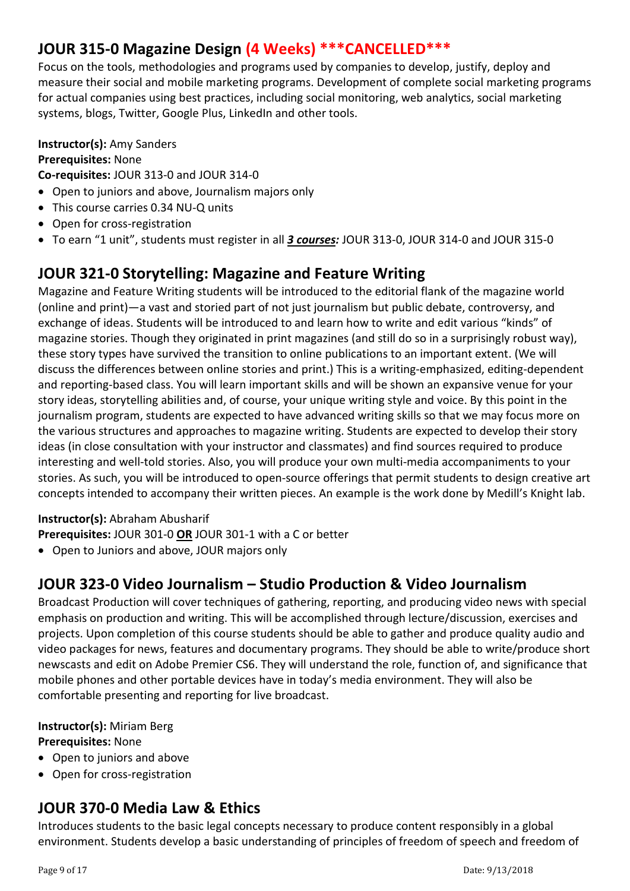## **JOUR 315-0 Magazine Design (4 Weeks) \*\*\*CANCELLED\*\*\***

Focus on the tools, methodologies and programs used by companies to develop, justify, deploy and measure their social and mobile marketing programs. Development of complete social marketing programs for actual companies using best practices, including social monitoring, web analytics, social marketing systems, blogs, Twitter, Google Plus, LinkedIn and other tools.

#### **Instructor(s):** Amy Sanders **Prerequisites:** None

**Co-requisites:** JOUR 313-0 and JOUR 314-0

- Open to juniors and above, Journalism majors only
- This course carries 0.34 NU-Q units
- Open for cross-registration
- To earn "1 unit", students must register in all *3 courses:* JOUR 313-0, JOUR 314-0 and JOUR 315-0

## **JOUR 321-0 Storytelling: Magazine and Feature Writing**

Magazine and Feature Writing students will be introduced to the editorial flank of the magazine world (online and print)—a vast and storied part of not just journalism but public debate, controversy, and exchange of ideas. Students will be introduced to and learn how to write and edit various "kinds" of magazine stories. Though they originated in print magazines (and still do so in a surprisingly robust way), these story types have survived the transition to online publications to an important extent. (We will discuss the differences between online stories and print.) This is a writing-emphasized, editing-dependent and reporting-based class. You will learn important skills and will be shown an expansive venue for your story ideas, storytelling abilities and, of course, your unique writing style and voice. By this point in the journalism program, students are expected to have advanced writing skills so that we may focus more on the various structures and approaches to magazine writing. Students are expected to develop their story ideas (in close consultation with your instructor and classmates) and find sources required to produce interesting and well-told stories. Also, you will produce your own multi-media accompaniments to your stories. As such, you will be introduced to open-source offerings that permit students to design creative art concepts intended to accompany their written pieces. An example is the work done by Medill's Knight lab.

### **Instructor(s):** Abraham Abusharif

**Prerequisites:** JOUR 301-0 **OR** JOUR 301-1 with a C or better

• Open to Juniors and above, JOUR majors only

### **JOUR 323-0 Video Journalism – Studio Production & Video Journalism**

Broadcast Production will cover techniques of gathering, reporting, and producing video news with special emphasis on production and writing. This will be accomplished through lecture/discussion, exercises and projects. Upon completion of this course students should be able to gather and produce quality audio and video packages for news, features and documentary programs. They should be able to write/produce short newscasts and edit on Adobe Premier CS6. They will understand the role, function of, and significance that mobile phones and other portable devices have in today's media environment. They will also be comfortable presenting and reporting for live broadcast.

#### **Instructor(s):** Miriam Berg **Prerequisites:** None

- Open to juniors and above
- Open for cross-registration

## **JOUR 370-0 Media Law & Ethics**

Introduces students to the basic legal concepts necessary to produce content responsibly in a global environment. Students develop a basic understanding of principles of freedom of speech and freedom of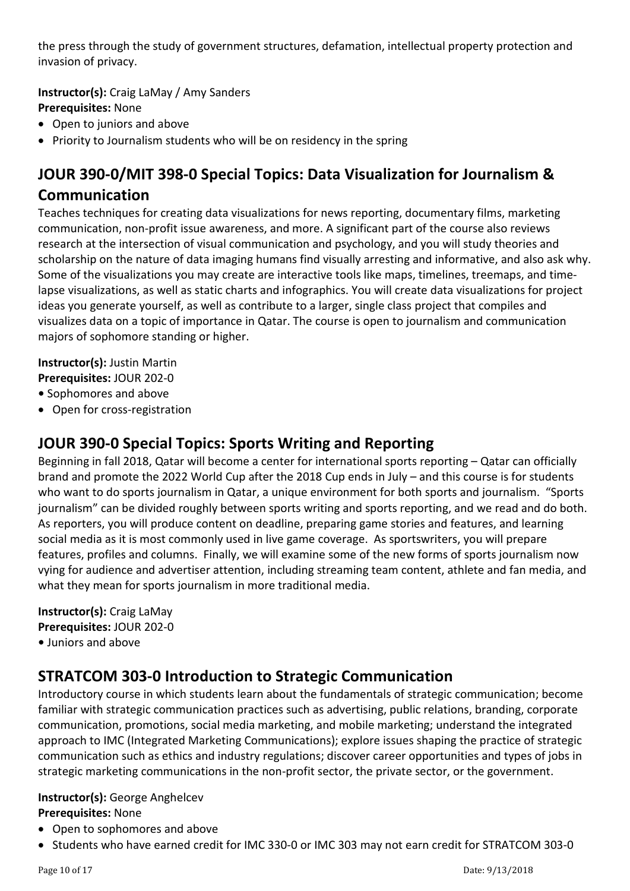the press through the study of government structures, defamation, intellectual property protection and invasion of privacy.

**Instructor(s):** Craig LaMay / Amy Sanders **Prerequisites:** None

- Open to juniors and above
- Priority to Journalism students who will be on residency in the spring

## **JOUR 390-0/MIT 398-0 Special Topics: Data Visualization for Journalism & Communication**

Teaches techniques for creating data visualizations for news reporting, documentary films, marketing communication, non-profit issue awareness, and more. A significant part of the course also reviews research at the intersection of visual communication and psychology, and you will study theories and scholarship on the nature of data imaging humans find visually arresting and informative, and also ask why. Some of the visualizations you may create are interactive tools like maps, timelines, treemaps, and timelapse visualizations, as well as static charts and infographics. You will create data visualizations for project ideas you generate yourself, as well as contribute to a larger, single class project that compiles and visualizes data on a topic of importance in Qatar. The course is open to journalism and communication majors of sophomore standing or higher.

**Instructor(s):** Justin Martin

**Prerequisites:** JOUR 202-0

- Sophomores and above
- Open for cross-registration

### **JOUR 390-0 Special Topics: Sports Writing and Reporting**

Beginning in fall 2018, Qatar will become a center for international sports reporting – Qatar can officially brand and promote the 2022 World Cup after the 2018 Cup ends in July – and this course is for students who want to do sports journalism in Qatar, a unique environment for both sports and journalism. "Sports journalism" can be divided roughly between sports writing and sports reporting, and we read and do both. As reporters, you will produce content on deadline, preparing game stories and features, and learning social media as it is most commonly used in live game coverage. As sportswriters, you will prepare features, profiles and columns. Finally, we will examine some of the new forms of sports journalism now vying for audience and advertiser attention, including streaming team content, athlete and fan media, and what they mean for sports journalism in more traditional media.

**Instructor(s):** Craig LaMay **Prerequisites:** JOUR 202-0 **•** Juniors and above

### **STRATCOM 303-0 Introduction to Strategic Communication**

Introductory course in which students learn about the fundamentals of strategic communication; become familiar with strategic communication practices such as advertising, public relations, branding, corporate communication, promotions, social media marketing, and mobile marketing; understand the integrated approach to IMC (Integrated Marketing Communications); explore issues shaping the practice of strategic communication such as ethics and industry regulations; discover career opportunities and types of jobs in strategic marketing communications in the non-profit sector, the private sector, or the government.

#### **Instructor(s):** George Anghelcev **Prerequisites:** None

- Open to sophomores and above
- Students who have earned credit for IMC 330-0 or IMC 303 may not earn credit for STRATCOM 303-0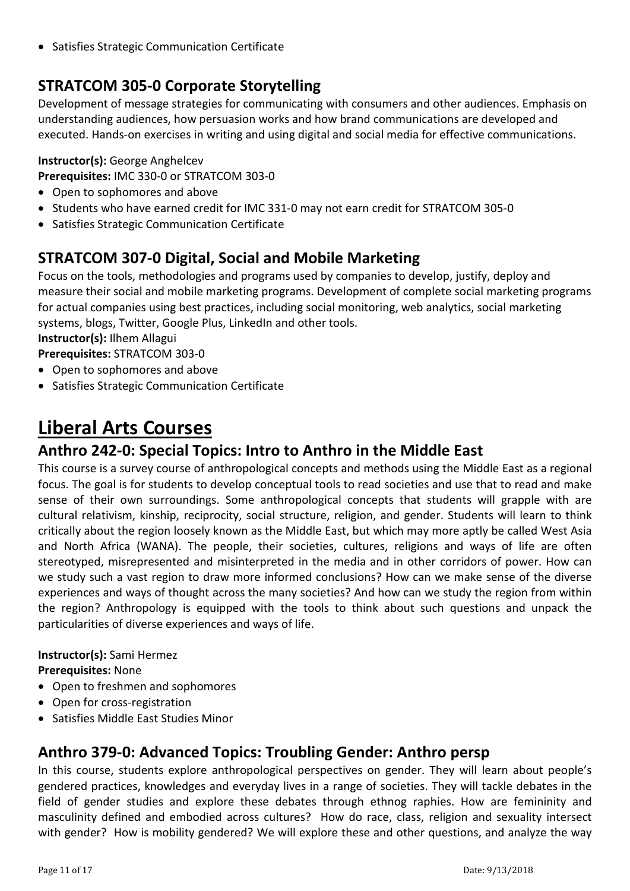• Satisfies Strategic Communication Certificate

## **STRATCOM 305-0 Corporate Storytelling**

Development of message strategies for communicating with consumers and other audiences. Emphasis on understanding audiences, how persuasion works and how brand communications are developed and executed. Hands-on exercises in writing and using digital and social media for effective communications.

#### **Instructor(s):** George Anghelcev

**Prerequisites:** IMC 330-0 or STRATCOM 303-0

- Open to sophomores and above
- Students who have earned credit for IMC 331-0 may not earn credit for STRATCOM 305-0
- Satisfies Strategic Communication Certificate

## **STRATCOM 307-0 Digital, Social and Mobile Marketing**

Focus on the tools, methodologies and programs used by companies to develop, justify, deploy and measure their social and mobile marketing programs. Development of complete social marketing programs for actual companies using best practices, including social monitoring, web analytics, social marketing systems, blogs, Twitter, Google Plus, LinkedIn and other tools. **Instructor(s):** Ilhem Allagui

**Prerequisites:** STRATCOM 303-0

- Open to sophomores and above
- Satisfies Strategic Communication Certificate

# **Liberal Arts Courses**

### **Anthro 242-0: Special Topics: Intro to Anthro in the Middle East**

This course is a survey course of anthropological concepts and methods using the Middle East as a regional focus. The goal is for students to develop conceptual tools to read societies and use that to read and make sense of their own surroundings. Some anthropological concepts that students will grapple with are cultural relativism, kinship, reciprocity, social structure, religion, and gender. Students will learn to think critically about the region loosely known as the Middle East, but which may more aptly be called West Asia and North Africa (WANA). The people, their societies, cultures, religions and ways of life are often stereotyped, misrepresented and misinterpreted in the media and in other corridors of power. How can we study such a vast region to draw more informed conclusions? How can we make sense of the diverse experiences and ways of thought across the many societies? And how can we study the region from within the region? Anthropology is equipped with the tools to think about such questions and unpack the particularities of diverse experiences and ways of life.

**Instructor(s):** Sami Hermez

**Prerequisites:** None

- Open to freshmen and sophomores
- Open for cross-registration
- Satisfies Middle East Studies Minor

### **Anthro 379-0: Advanced Topics: Troubling Gender: Anthro persp**

In this course, students explore anthropological perspectives on gender. They will learn about people's gendered practices, knowledges and everyday lives in a range of societies. They will tackle debates in the field of gender studies and explore these debates through ethnog raphies. How are femininity and masculinity defined and embodied across cultures? How do race, class, religion and sexuality intersect with gender? How is mobility gendered? We will explore these and other questions, and analyze the way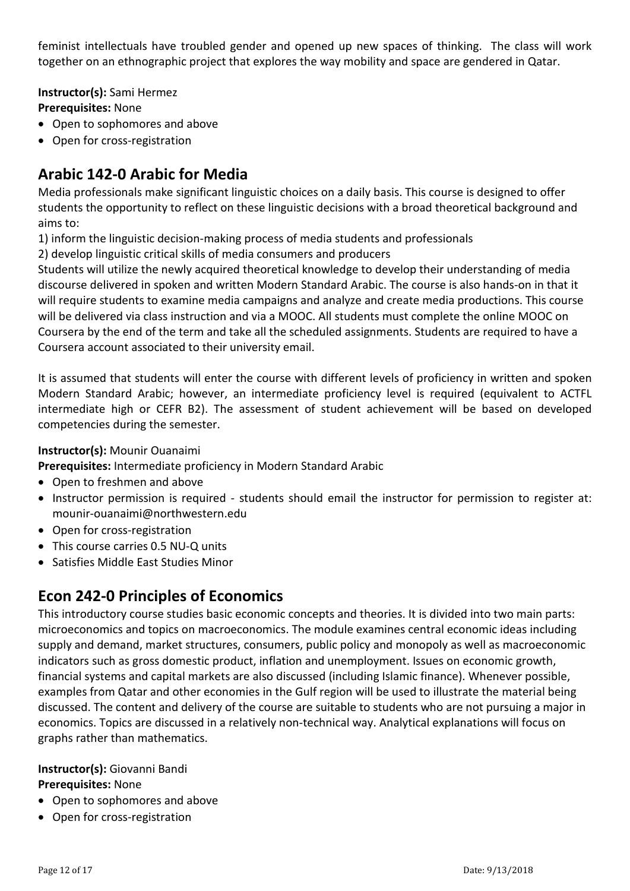feminist intellectuals have troubled gender and opened up new spaces of thinking. The class will work together on an ethnographic project that explores the way mobility and space are gendered in Qatar.

**Instructor(s):** Sami Hermez **Prerequisites:** None

- Open to sophomores and above
- Open for cross-registration

## **Arabic 142-0 Arabic for Media**

Media professionals make significant linguistic choices on a daily basis. This course is designed to offer students the opportunity to reflect on these linguistic decisions with a broad theoretical background and aims to:

1) inform the linguistic decision-making process of media students and professionals

2) develop linguistic critical skills of media consumers and producers

Students will utilize the newly acquired theoretical knowledge to develop their understanding of media discourse delivered in spoken and written Modern Standard Arabic. The course is also hands-on in that it will require students to examine media campaigns and analyze and create media productions. This course will be delivered via class instruction and via a MOOC. All students must complete the online MOOC on Coursera by the end of the term and take all the scheduled assignments. Students are required to have a Coursera account associated to their university email.

It is assumed that students will enter the course with different levels of proficiency in written and spoken Modern Standard Arabic; however, an intermediate proficiency level is required (equivalent to ACTFL intermediate high or CEFR B2). The assessment of student achievement will be based on developed competencies during the semester.

#### **Instructor(s):** Mounir Ouanaimi

**Prerequisites:** Intermediate proficiency in Modern Standard Arabic

- Open to freshmen and above
- Instructor permission is required students should email the instructor for permission to register at: mounir-ouanaimi@northwestern.edu
- Open for cross-registration
- This course carries 0.5 NU-Q units
- Satisfies Middle East Studies Minor

### **Econ 242-0 Principles of Economics**

This introductory course studies basic economic concepts and theories. It is divided into two main parts: microeconomics and topics on macroeconomics. The module examines central economic ideas including supply and demand, market structures, consumers, public policy and monopoly as well as macroeconomic indicators such as gross domestic product, inflation and unemployment. Issues on economic growth, financial systems and capital markets are also discussed (including Islamic finance). Whenever possible, examples from Qatar and other economies in the Gulf region will be used to illustrate the material being discussed. The content and delivery of the course are suitable to students who are not pursuing a major in economics. Topics are discussed in a relatively non-technical way. Analytical explanations will focus on graphs rather than mathematics.

### **Instructor(s):** Giovanni Bandi

- Open to sophomores and above
- Open for cross-registration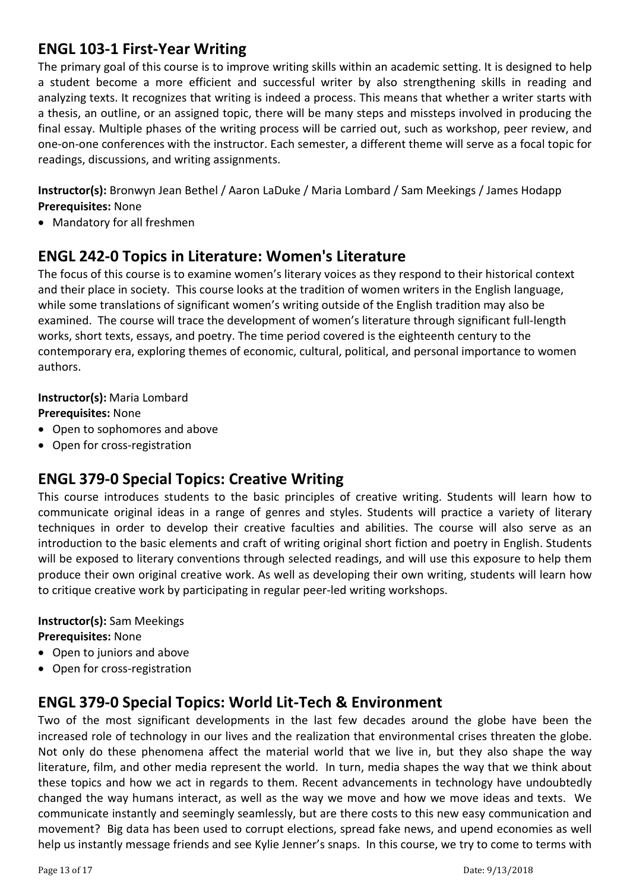### **ENGL 103-1 First-Year Writing**

The primary goal of this course is to improve writing skills within an academic setting. It is designed to help a student become a more efficient and successful writer by also strengthening skills in reading and analyzing texts. It recognizes that writing is indeed a process. This means that whether a writer starts with a thesis, an outline, or an assigned topic, there will be many steps and missteps involved in producing the final essay. Multiple phases of the writing process will be carried out, such as workshop, peer review, and one-on-one conferences with the instructor. Each semester, a different theme will serve as a focal topic for readings, discussions, and writing assignments.

**Instructor(s):** Bronwyn Jean Bethel / Aaron LaDuke / Maria Lombard / Sam Meekings / James Hodapp **Prerequisites:** None

• Mandatory for all freshmen

### **ENGL 242-0 Topics in Literature: Women's Literature**

The focus of this course is to examine women's literary voices as they respond to their historical context and their place in society. This course looks at the tradition of women writers in the English language, while some translations of significant women's writing outside of the English tradition may also be examined. The course will trace the development of women's literature through significant full-length works, short texts, essays, and poetry. The time period covered is the eighteenth century to the contemporary era, exploring themes of economic, cultural, political, and personal importance to women authors.

#### **Instructor(s):** Maria Lombard

#### **Prerequisites:** None

- Open to sophomores and above
- Open for cross-registration

### **ENGL 379-0 Special Topics: Creative Writing**

This course introduces students to the basic principles of creative writing. Students will learn how to communicate original ideas in a range of genres and styles. Students will practice a variety of literary techniques in order to develop their creative faculties and abilities. The course will also serve as an introduction to the basic elements and craft of writing original short fiction and poetry in English. Students will be exposed to literary conventions through selected readings, and will use this exposure to help them produce their own original creative work. As well as developing their own writing, students will learn how to critique creative work by participating in regular peer-led writing workshops.

#### **Instructor(s):** Sam Meekings

**Prerequisites:** None

- Open to juniors and above
- Open for cross-registration

### **ENGL 379-0 Special Topics: World Lit-Tech & Environment**

Two of the most significant developments in the last few decades around the globe have been the increased role of technology in our lives and the realization that environmental crises threaten the globe. Not only do these phenomena affect the material world that we live in, but they also shape the way literature, film, and other media represent the world. In turn, media shapes the way that we think about these topics and how we act in regards to them. Recent advancements in technology have undoubtedly changed the way humans interact, as well as the way we move and how we move ideas and texts. We communicate instantly and seemingly seamlessly, but are there costs to this new easy communication and movement? Big data has been used to corrupt elections, spread fake news, and upend economies as well help us instantly message friends and see Kylie Jenner's snaps. In this course, we try to come to terms with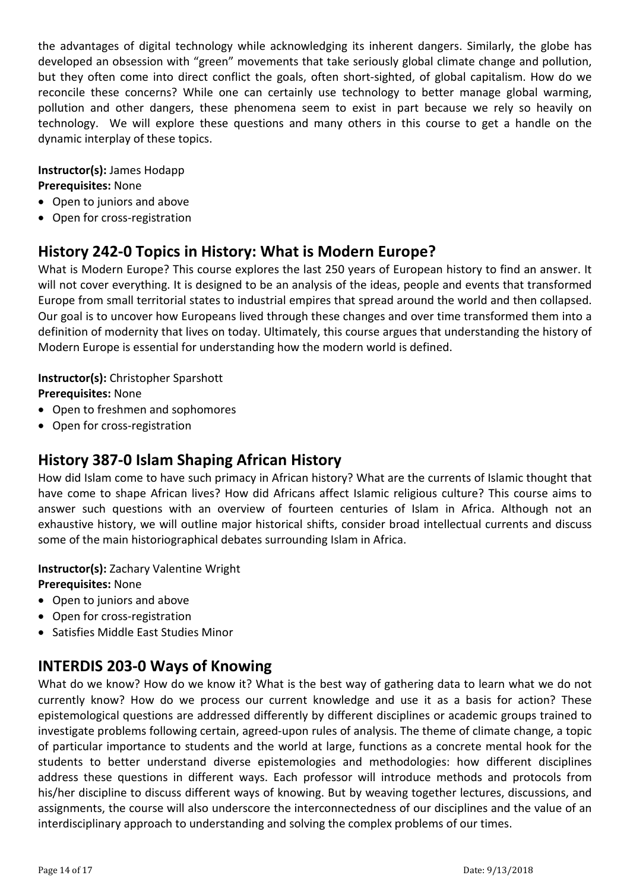the advantages of digital technology while acknowledging its inherent dangers. Similarly, the globe has developed an obsession with "green" movements that take seriously global climate change and pollution, but they often come into direct conflict the goals, often short-sighted, of global capitalism. How do we reconcile these concerns? While one can certainly use technology to better manage global warming, pollution and other dangers, these phenomena seem to exist in part because we rely so heavily on technology. We will explore these questions and many others in this course to get a handle on the dynamic interplay of these topics.

**Instructor(s):** James Hodapp **Prerequisites:** None

- Open to juniors and above
- Open for cross-registration

### **History 242-0 Topics in History: What is Modern Europe?**

What is Modern Europe? This course explores the last 250 years of European history to find an answer. It will not cover everything. It is designed to be an analysis of the ideas, people and events that transformed Europe from small territorial states to industrial empires that spread around the world and then collapsed. Our goal is to uncover how Europeans lived through these changes and over time transformed them into a definition of modernity that lives on today. Ultimately, this course argues that understanding the history of Modern Europe is essential for understanding how the modern world is defined.

## **Instructor(s):** Christopher Sparshott

**Prerequisites:** None

- Open to freshmen and sophomores
- Open for cross-registration

### **History 387-0 Islam Shaping African History**

How did Islam come to have such primacy in African history? What are the currents of Islamic thought that have come to shape African lives? How did Africans affect Islamic religious culture? This course aims to answer such questions with an overview of fourteen centuries of Islam in Africa. Although not an exhaustive history, we will outline major historical shifts, consider broad intellectual currents and discuss some of the main historiographical debates surrounding Islam in Africa.

**Instructor(s):** Zachary Valentine Wright **Prerequisites:** None

- Open to juniors and above
- Open for cross-registration
- Satisfies Middle East Studies Minor

### **INTERDIS 203-0 Ways of Knowing**

What do we know? How do we know it? What is the best way of gathering data to learn what we do not currently know? How do we process our current knowledge and use it as a basis for action? These epistemological questions are addressed differently by different disciplines or academic groups trained to investigate problems following certain, agreed-upon rules of analysis. The theme of climate change, a topic of particular importance to students and the world at large, functions as a concrete mental hook for the students to better understand diverse epistemologies and methodologies: how different disciplines address these questions in different ways. Each professor will introduce methods and protocols from his/her discipline to discuss different ways of knowing. But by weaving together lectures, discussions, and assignments, the course will also underscore the interconnectedness of our disciplines and the value of an interdisciplinary approach to understanding and solving the complex problems of our times.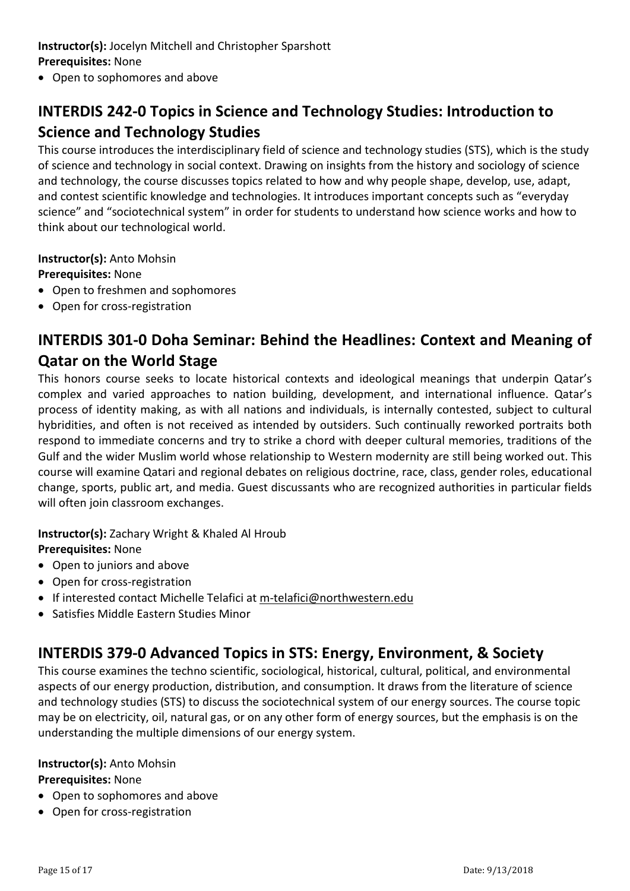### **Instructor(s):** Jocelyn Mitchell and Christopher Sparshott **Prerequisites:** None

• Open to sophomores and above

## **INTERDIS 242-0 Topics in Science and Technology Studies: Introduction to Science and Technology Studies**

This course introduces the interdisciplinary field of science and technology studies (STS), which is the study of science and technology in social context. Drawing on insights from the history and sociology of science and technology, the course discusses topics related to how and why people shape, develop, use, adapt, and contest scientific knowledge and technologies. It introduces important concepts such as "everyday science" and "sociotechnical system" in order for students to understand how science works and how to think about our technological world.

**Instructor(s):** Anto Mohsin

**Prerequisites:** None

- Open to freshmen and sophomores
- Open for cross-registration

## **INTERDIS 301-0 Doha Seminar: Behind the Headlines: Context and Meaning of Qatar on the World Stage**

This honors course seeks to locate historical contexts and ideological meanings that underpin Qatar's complex and varied approaches to nation building, development, and international influence. Qatar's process of identity making, as with all nations and individuals, is internally contested, subject to cultural hybridities, and often is not received as intended by outsiders. Such continually reworked portraits both respond to immediate concerns and try to strike a chord with deeper cultural memories, traditions of the Gulf and the wider Muslim world whose relationship to Western modernity are still being worked out. This course will examine Qatari and regional debates on religious doctrine, race, class, gender roles, educational change, sports, public art, and media. Guest discussants who are recognized authorities in particular fields will often join classroom exchanges.

**Instructor(s):** Zachary Wright & Khaled Al Hroub

**Prerequisites:** None

- Open to juniors and above
- Open for cross-registration
- If interested contact Michelle Telafici at [m-telafici@northwestern.edu](mailto:m-telafici@northwestern.edu)
- Satisfies Middle Eastern Studies Minor

### **INTERDIS 379-0 Advanced Topics in STS: Energy, Environment, & Society**

This course examines the techno scientific, sociological, historical, cultural, political, and environmental aspects of our energy production, distribution, and consumption. It draws from the literature of science and technology studies (STS) to discuss the sociotechnical system of our energy sources. The course topic may be on electricity, oil, natural gas, or on any other form of energy sources, but the emphasis is on the understanding the multiple dimensions of our energy system.

#### **Instructor(s):** Anto Mohsin

- Open to sophomores and above
- Open for cross-registration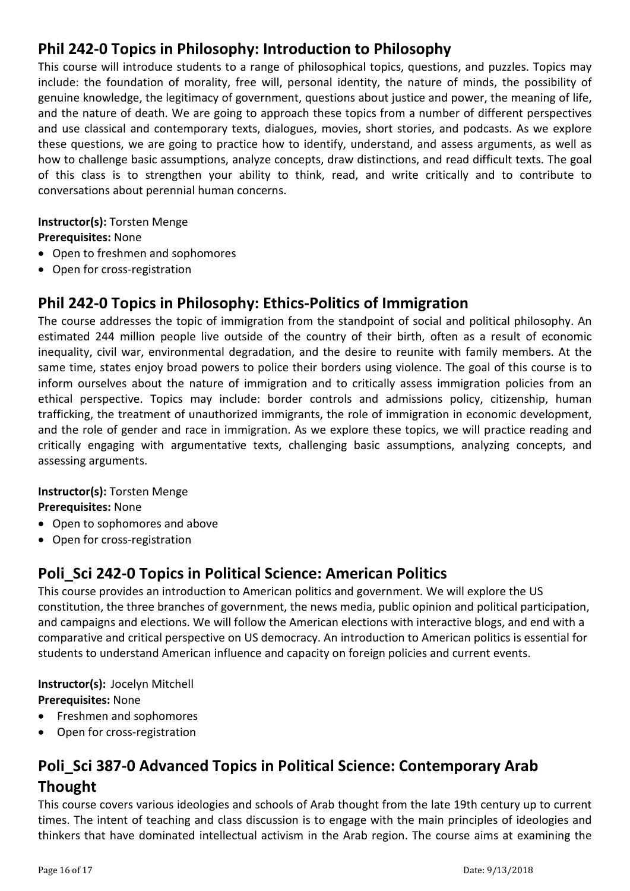## **Phil 242-0 Topics in Philosophy: Introduction to Philosophy**

This course will introduce students to a range of philosophical topics, questions, and puzzles. Topics may include: the foundation of morality, free will, personal identity, the nature of minds, the possibility of genuine knowledge, the legitimacy of government, questions about justice and power, the meaning of life, and the nature of death. We are going to approach these topics from a number of different perspectives and use classical and contemporary texts, dialogues, movies, short stories, and podcasts. As we explore these questions, we are going to practice how to identify, understand, and assess arguments, as well as how to challenge basic assumptions, analyze concepts, draw distinctions, and read difficult texts. The goal of this class is to strengthen your ability to think, read, and write critically and to contribute to conversations about perennial human concerns.

### **Instructor(s):** Torsten Menge

**Prerequisites:** None

- Open to freshmen and sophomores
- Open for cross-registration

## **Phil 242-0 Topics in Philosophy: Ethics-Politics of Immigration**

The course addresses the topic of immigration from the standpoint of social and political philosophy. An estimated 244 million people live outside of the country of their birth, often as a result of economic inequality, civil war, environmental degradation, and the desire to reunite with family members. At the same time, states enjoy broad powers to police their borders using violence. The goal of this course is to inform ourselves about the nature of immigration and to critically assess immigration policies from an ethical perspective. Topics may include: border controls and admissions policy, citizenship, human trafficking, the treatment of unauthorized immigrants, the role of immigration in economic development, and the role of gender and race in immigration. As we explore these topics, we will practice reading and critically engaging with argumentative texts, challenging basic assumptions, analyzing concepts, and assessing arguments.

#### **Instructor(s):** Torsten Menge

**Prerequisites:** None

- Open to sophomores and above
- Open for cross-registration

### **Poli\_Sci 242-0 Topics in Political Science: American Politics**

This course provides an introduction to American politics and government. We will explore the US constitution, the three branches of government, the news media, public opinion and political participation, and campaigns and elections. We will follow the American elections with interactive blogs, and end with a comparative and critical perspective on US democracy. An introduction to American politics is essential for students to understand American influence and capacity on foreign policies and current events.

**Instructor(s):** Jocelyn Mitchell **Prerequisites:** None

- Freshmen and sophomores
- Open for cross-registration

## **Poli\_Sci 387-0 Advanced Topics in Political Science: Contemporary Arab Thought**

This course covers various ideologies and schools of Arab thought from the late 19th century up to current times. The intent of teaching and class discussion is to engage with the main principles of ideologies and thinkers that have dominated intellectual activism in the Arab region. The course aims at examining the